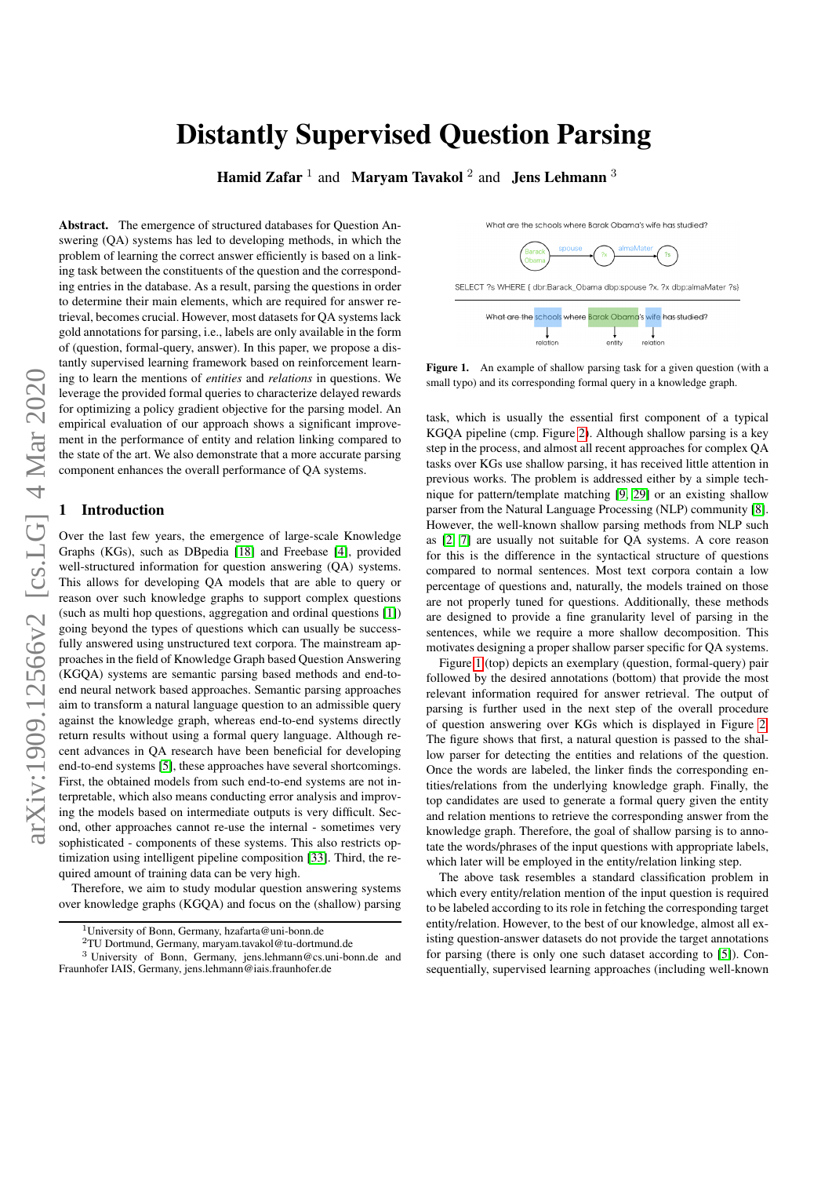# Distantly Supervised Question Parsing

Hamid Zafar  $^1$  and Maryam Tavakol  $^2$  and Jens Lehmann  $^3$ 

Abstract. The emergence of structured databases for Question Answering (QA) systems has led to developing methods, in which the problem of learning the correct answer efficiently is based on a linking task between the constituents of the question and the corresponding entries in the database. As a result, parsing the questions in order to determine their main elements, which are required for answer retrieval, becomes crucial. However, most datasets for QA systems lack gold annotations for parsing, i.e., labels are only available in the form of (question, formal-query, answer). In this paper, we propose a distantly supervised learning framework based on reinforcement learning to learn the mentions of *entities* and *relations* in questions. We leverage the provided formal queries to characterize delayed rewards for optimizing a policy gradient objective for the parsing model. An empirical evaluation of our approach shows a significant improvement in the performance of entity and relation linking compared to the state of the art. We also demonstrate that a more accurate parsing component enhances the overall performance of QA systems.

#### **Introduction**

Over the last few years, the emergence of large-scale Knowledge Graphs (KGs), such as DBpedia [\[18\]](#page-7-0) and Freebase [\[4\]](#page-6-0), provided well-structured information for question answering (QA) systems. This allows for developing QA models that are able to query or reason over such knowledge graphs to support complex questions (such as multi hop questions, aggregation and ordinal questions [\[1\]](#page-6-1)) going beyond the types of questions which can usually be successfully answered using unstructured text corpora. The mainstream approaches in the field of Knowledge Graph based Question Answering (KGQA) systems are semantic parsing based methods and end-toend neural network based approaches. Semantic parsing approaches aim to transform a natural language question to an admissible query against the knowledge graph, whereas end-to-end systems directly return results without using a formal query language. Although recent advances in QA research have been beneficial for developing end-to-end systems [\[5\]](#page-6-2), these approaches have several shortcomings. First, the obtained models from such end-to-end systems are not interpretable, which also means conducting error analysis and improving the models based on intermediate outputs is very difficult. Second, other approaches cannot re-use the internal - sometimes very sophisticated - components of these systems. This also restricts optimization using intelligent pipeline composition [\[33\]](#page-7-1). Third, the required amount of training data can be very high.

Therefore, we aim to study modular question answering systems over knowledge graphs (KGQA) and focus on the (shallow) parsing

<sup>2</sup>TU Dortmund, Germany, maryam.tavakol@tu-dortmund.de

What are the schools where Barak Obama's wife has studied?



SELECT ?s WHERE { dbr:Barack Obama dbp:spouse ?x. ?x dbp:almaMater ?s]



<span id="page-0-0"></span>Figure 1. An example of shallow parsing task for a given question (with a small typo) and its corresponding formal query in a knowledge graph.

task, which is usually the essential first component of a typical KGQA pipeline (cmp. Figure [2\)](#page-1-0). Although shallow parsing is a key step in the process, and almost all recent approaches for complex QA tasks over KGs use shallow parsing, it has received little attention in previous works. The problem is addressed either by a simple technique for pattern/template matching [\[9,](#page-7-2) [29\]](#page-7-3) or an existing shallow parser from the Natural Language Processing (NLP) community [\[8\]](#page-7-4). However, the well-known shallow parsing methods from NLP such as [\[2,](#page-6-3) [7\]](#page-6-4) are usually not suitable for QA systems. A core reason for this is the difference in the syntactical structure of questions compared to normal sentences. Most text corpora contain a low percentage of questions and, naturally, the models trained on those are not properly tuned for questions. Additionally, these methods are designed to provide a fine granularity level of parsing in the sentences, while we require a more shallow decomposition. This motivates designing a proper shallow parser specific for QA systems.

Figure [1](#page-0-0) (top) depicts an exemplary (question, formal-query) pair followed by the desired annotations (bottom) that provide the most relevant information required for answer retrieval. The output of parsing is further used in the next step of the overall procedure of question answering over KGs which is displayed in Figure [2.](#page-1-0) The figure shows that first, a natural question is passed to the shallow parser for detecting the entities and relations of the question. Once the words are labeled, the linker finds the corresponding entities/relations from the underlying knowledge graph. Finally, the top candidates are used to generate a formal query given the entity and relation mentions to retrieve the corresponding answer from the knowledge graph. Therefore, the goal of shallow parsing is to annotate the words/phrases of the input questions with appropriate labels, which later will be employed in the entity/relation linking step.

The above task resembles a standard classification problem in which every entity/relation mention of the input question is required to be labeled according to its role in fetching the corresponding target entity/relation. However, to the best of our knowledge, almost all existing question-answer datasets do not provide the target annotations for parsing (there is only one such dataset according to [\[5\]](#page-6-2)). Consequentially, supervised learning approaches (including well-known

<sup>1</sup>University of Bonn, Germany, hzafarta@uni-bonn.de

<sup>3</sup> University of Bonn, Germany, jens.lehmann@cs.uni-bonn.de and Fraunhofer IAIS, Germany, jens.lehmann@iais.fraunhofer.de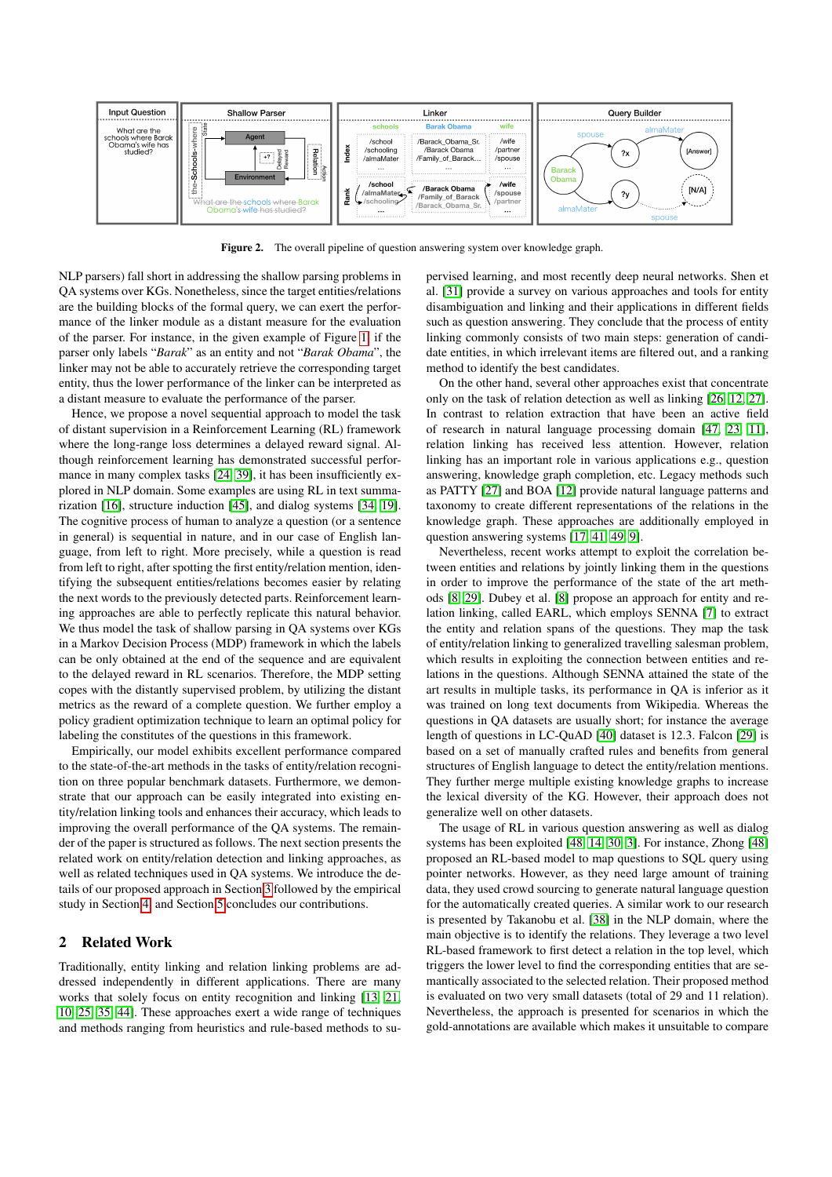

<span id="page-1-0"></span>Figure 2. The overall pipeline of question answering system over knowledge graph.

NLP parsers) fall short in addressing the shallow parsing problems in QA systems over KGs. Nonetheless, since the target entities/relations are the building blocks of the formal query, we can exert the performance of the linker module as a distant measure for the evaluation of the parser. For instance, in the given example of Figure [1,](#page-0-0) if the parser only labels "*Barak*" as an entity and not "*Barak Obama*", the linker may not be able to accurately retrieve the corresponding target entity, thus the lower performance of the linker can be interpreted as a distant measure to evaluate the performance of the parser.

Hence, we propose a novel sequential approach to model the task of distant supervision in a Reinforcement Learning (RL) framework where the long-range loss determines a delayed reward signal. Although reinforcement learning has demonstrated successful performance in many complex tasks [\[24,](#page-7-5) [39\]](#page-7-6), it has been insufficiently explored in NLP domain. Some examples are using RL in text summarization [\[16\]](#page-7-7), structure induction [\[45\]](#page-7-8), and dialog systems [\[34,](#page-7-9) [19\]](#page-7-10). The cognitive process of human to analyze a question (or a sentence in general) is sequential in nature, and in our case of English language, from left to right. More precisely, while a question is read from left to right, after spotting the first entity/relation mention, identifying the subsequent entities/relations becomes easier by relating the next words to the previously detected parts. Reinforcement learning approaches are able to perfectly replicate this natural behavior. We thus model the task of shallow parsing in QA systems over KGs in a Markov Decision Process (MDP) framework in which the labels can be only obtained at the end of the sequence and are equivalent to the delayed reward in RL scenarios. Therefore, the MDP setting copes with the distantly supervised problem, by utilizing the distant metrics as the reward of a complete question. We further employ a policy gradient optimization technique to learn an optimal policy for labeling the constitutes of the questions in this framework.

Empirically, our model exhibits excellent performance compared to the state-of-the-art methods in the tasks of entity/relation recognition on three popular benchmark datasets. Furthermore, we demonstrate that our approach can be easily integrated into existing entity/relation linking tools and enhances their accuracy, which leads to improving the overall performance of the QA systems. The remainder of the paper is structured as follows. The next section presents the related work on entity/relation detection and linking approaches, as well as related techniques used in QA systems. We introduce the details of our proposed approach in Section [3](#page-2-0) followed by the empirical study in Section [4,](#page-3-0) and Section [5](#page-6-5) concludes our contributions.

# 2 Related Work

Traditionally, entity linking and relation linking problems are addressed independently in different applications. There are many works that solely focus on entity recognition and linking [\[13,](#page-7-11) [21,](#page-7-12) [10,](#page-7-13) [25,](#page-7-14) [35,](#page-7-15) [44\]](#page-7-16). These approaches exert a wide range of techniques and methods ranging from heuristics and rule-based methods to supervised learning, and most recently deep neural networks. Shen et al. [\[31\]](#page-7-17) provide a survey on various approaches and tools for entity disambiguation and linking and their applications in different fields such as question answering. They conclude that the process of entity linking commonly consists of two main steps: generation of candidate entities, in which irrelevant items are filtered out, and a ranking method to identify the best candidates.

On the other hand, several other approaches exist that concentrate only on the task of relation detection as well as linking [\[26,](#page-7-18) [12,](#page-7-19) [27\]](#page-7-20). In contrast to relation extraction that have been an active field of research in natural language processing domain [\[47,](#page-7-21) [23,](#page-7-22) [11\]](#page-7-23), relation linking has received less attention. However, relation linking has an important role in various applications e.g., question answering, knowledge graph completion, etc. Legacy methods such as PATTY [\[27\]](#page-7-20) and BOA [\[12\]](#page-7-19) provide natural language patterns and taxonomy to create different representations of the relations in the knowledge graph. These approaches are additionally employed in question answering systems [\[17,](#page-7-24) [41,](#page-7-25) [49,](#page-7-26) [9\]](#page-7-2).

Nevertheless, recent works attempt to exploit the correlation between entities and relations by jointly linking them in the questions in order to improve the performance of the state of the art methods [\[8,](#page-7-4) [29\]](#page-7-3). Dubey et al. [\[8\]](#page-7-4) propose an approach for entity and relation linking, called EARL, which employs SENNA [\[7\]](#page-6-4) to extract the entity and relation spans of the questions. They map the task of entity/relation linking to generalized travelling salesman problem, which results in exploiting the connection between entities and relations in the questions. Although SENNA attained the state of the art results in multiple tasks, its performance in QA is inferior as it was trained on long text documents from Wikipedia. Whereas the questions in QA datasets are usually short; for instance the average length of questions in LC-QuAD [\[40\]](#page-7-27) dataset is 12.3. Falcon [\[29\]](#page-7-3) is based on a set of manually crafted rules and benefits from general structures of English language to detect the entity/relation mentions. They further merge multiple existing knowledge graphs to increase the lexical diversity of the KG. However, their approach does not generalize well on other datasets.

The usage of RL in various question answering as well as dialog systems has been exploited [\[48,](#page-7-28) [14,](#page-7-29) [30,](#page-7-30) [3\]](#page-6-6). For instance, Zhong [\[48\]](#page-7-28) proposed an RL-based model to map questions to SQL query using pointer networks. However, as they need large amount of training data, they used crowd sourcing to generate natural language question for the automatically created queries. A similar work to our research is presented by Takanobu et al. [\[38\]](#page-7-31) in the NLP domain, where the main objective is to identify the relations. They leverage a two level RL-based framework to first detect a relation in the top level, which triggers the lower level to find the corresponding entities that are semantically associated to the selected relation. Their proposed method is evaluated on two very small datasets (total of 29 and 11 relation). Nevertheless, the approach is presented for scenarios in which the gold-annotations are available which makes it unsuitable to compare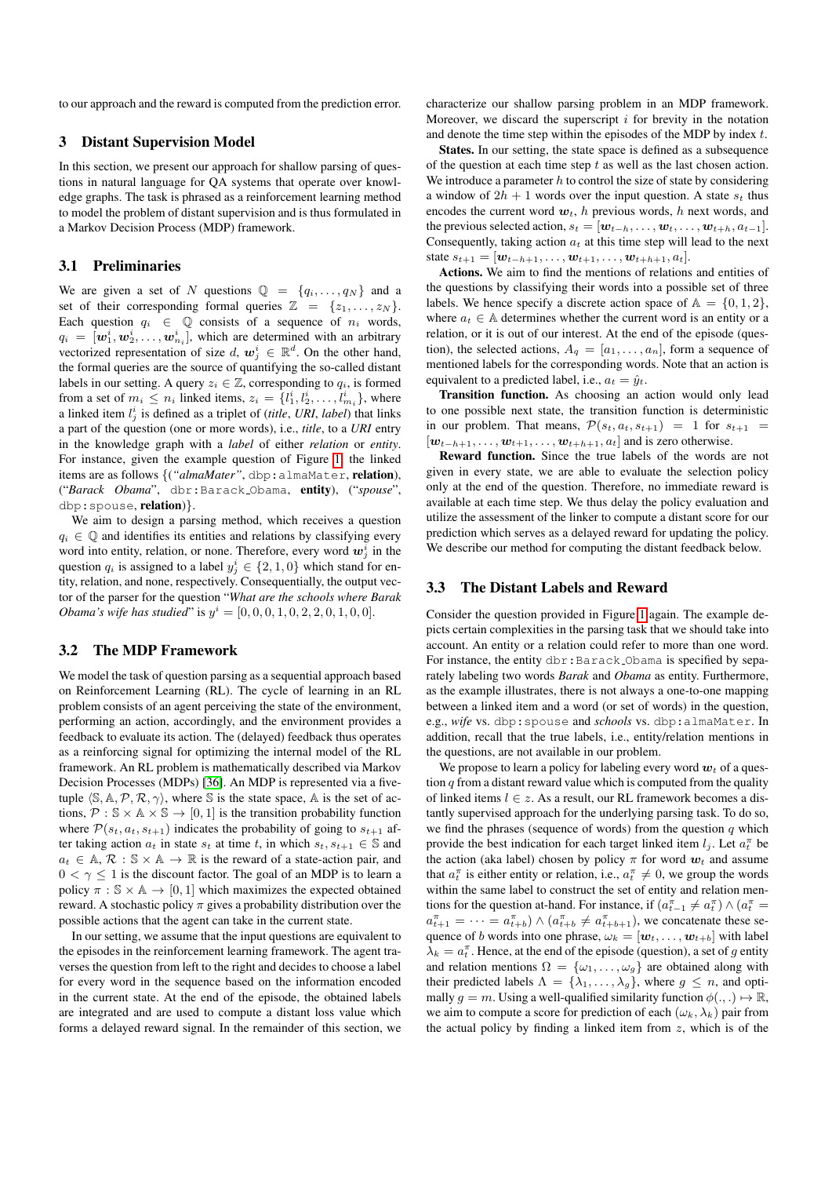to our approach and the reward is computed from the prediction error.

#### <span id="page-2-0"></span>3 Distant Supervision Model

In this section, we present our approach for shallow parsing of questions in natural language for QA systems that operate over knowledge graphs. The task is phrased as a reinforcement learning method to model the problem of distant supervision and is thus formulated in a Markov Decision Process (MDP) framework.

# 3.1 Preliminaries

We are given a set of N questions  $\mathbb{Q} = \{q_i, \ldots, q_N\}$  and a set of their corresponding formal queries  $\mathbb{Z} = \{z_1, \ldots, z_N\}.$ Each question  $q_i \in \mathbb{Q}$  consists of a sequence of  $n_i$  words,  $q_i = [\boldsymbol{w}_1^i, \boldsymbol{w}_2^i, \dots, \boldsymbol{w}_{n_i}^i]$ , which are determined with an arbitrary vectorized representation of size  $d$ ,  $w_j^i \in \mathbb{R}^d$ . On the other hand, the formal queries are the source of quantifying the so-called distant labels in our setting. A query  $z_i \in \mathbb{Z}$ , corresponding to  $q_i$ , is formed from a set of  $m_i \leq n_i$  linked items,  $z_i = \{l_1^i, l_2^i, \dots, l_{m_i}^i\}$ , where a linked item  $l_j^i$  is defined as a triplet of *(title, URI, label)* that links a part of the question (one or more words), i.e., *title*, to a *URI* entry in the knowledge graph with a *label* of either *relation* or *entity*. For instance, given the example question of Figure [1,](#page-0-0) the linked items are as follows  $\{('almaMater", dbp:almaMater, relation),\}$ ("*Barack Obama*", dbr:Barack Obama, entity), ("*spouse*", dbp:spouse, relation)}.

We aim to design a parsing method, which receives a question  $q_i \in \mathbb{Q}$  and identifies its entities and relations by classifying every word into entity, relation, or none. Therefore, every word  $w_j^i$  in the question  $q_i$  is assigned to a label  $y_j^i \in \{2, 1, 0\}$  which stand for entity, relation, and none, respectively. Consequentially, the output vector of the parser for the question "*What are the schools where Barak Obama's wife has studied*" is  $y^i = [0, 0, 0, 1, 0, 2, 2, 0, 1, 0, 0].$ 

## 3.2 The MDP Framework

We model the task of question parsing as a sequential approach based on Reinforcement Learning (RL). The cycle of learning in an RL problem consists of an agent perceiving the state of the environment, performing an action, accordingly, and the environment provides a feedback to evaluate its action. The (delayed) feedback thus operates as a reinforcing signal for optimizing the internal model of the RL framework. An RL problem is mathematically described via Markov Decision Processes (MDPs) [\[36\]](#page-7-32). An MDP is represented via a fivetuple  $\langle \mathbb{S}, \mathbb{A}, \mathcal{P}, \mathcal{R}, \gamma \rangle$ , where S is the state space, A is the set of actions,  $\mathcal{P}: \mathbb{S} \times \mathbb{A} \times \mathbb{S} \rightarrow [0, 1]$  is the transition probability function where  $\mathcal{P}(s_t, a_t, s_{t+1})$  indicates the probability of going to  $s_{t+1}$  after taking action  $a_t$  in state  $s_t$  at time t, in which  $s_t, s_{t+1} \in \mathbb{S}$  and  $a_t \in A$ ,  $\mathcal{R}: \mathbb{S} \times \mathbb{A} \to \mathbb{R}$  is the reward of a state-action pair, and  $0 < \gamma < 1$  is the discount factor. The goal of an MDP is to learn a policy  $\pi : \mathbb{S} \times \mathbb{A} \to [0, 1]$  which maximizes the expected obtained reward. A stochastic policy  $\pi$  gives a probability distribution over the possible actions that the agent can take in the current state.

In our setting, we assume that the input questions are equivalent to the episodes in the reinforcement learning framework. The agent traverses the question from left to the right and decides to choose a label for every word in the sequence based on the information encoded in the current state. At the end of the episode, the obtained labels are integrated and are used to compute a distant loss value which forms a delayed reward signal. In the remainder of this section, we characterize our shallow parsing problem in an MDP framework. Moreover, we discard the superscript  $i$  for brevity in the notation and denote the time step within the episodes of the MDP by index  $t$ .

States. In our setting, the state space is defined as a subsequence of the question at each time step  $t$  as well as the last chosen action. We introduce a parameter  $h$  to control the size of state by considering a window of  $2h + 1$  words over the input question. A state  $s_t$  thus encodes the current word  $w_t$ , h previous words, h next words, and the previous selected action,  $s_t = [\mathbf{w}_{t-h}, \dots, \mathbf{w}_t, \dots, \mathbf{w}_{t+h}, a_{t-1}]$ . Consequently, taking action  $a_t$  at this time step will lead to the next state  $s_{t+1} = [\mathbf{w}_{t-h+1}, \dots, \mathbf{w}_{t+1}, \dots, \mathbf{w}_{t+h+1}, a_t].$ 

Actions. We aim to find the mentions of relations and entities of the questions by classifying their words into a possible set of three labels. We hence specify a discrete action space of  $A = \{0, 1, 2\},\$ where  $a_t \in A$  determines whether the current word is an entity or a relation, or it is out of our interest. At the end of the episode (question), the selected actions,  $A_q = [a_1, \ldots, a_n]$ , form a sequence of mentioned labels for the corresponding words. Note that an action is equivalent to a predicted label, i.e.,  $a_t = \hat{y}_t$ .

Transition function. As choosing an action would only lead to one possible next state, the transition function is deterministic in our problem. That means,  $\mathcal{P}(s_t, a_t, s_{t+1}) = 1$  for  $s_{t+1} =$  $[w_{t-h+1}, \ldots, w_{t+1}, \ldots, w_{t+h+1}, a_t]$  and is zero otherwise.

Reward function. Since the true labels of the words are not given in every state, we are able to evaluate the selection policy only at the end of the question. Therefore, no immediate reward is available at each time step. We thus delay the policy evaluation and utilize the assessment of the linker to compute a distant score for our prediction which serves as a delayed reward for updating the policy. We describe our method for computing the distant feedback below.

## 3.3 The Distant Labels and Reward

Consider the question provided in Figure [1](#page-0-0) again. The example depicts certain complexities in the parsing task that we should take into account. An entity or a relation could refer to more than one word. For instance, the entity dbr: Barack Obama is specified by separately labeling two words *Barak* and *Obama* as entity. Furthermore, as the example illustrates, there is not always a one-to-one mapping between a linked item and a word (or set of words) in the question, e.g., *wife* vs. dbp:spouse and *schools* vs. dbp:almaMater. In addition, recall that the true labels, i.e., entity/relation mentions in the questions, are not available in our problem.

We propose to learn a policy for labeling every word  $w_t$  of a question  $q$  from a distant reward value which is computed from the quality of linked items  $l \in z$ . As a result, our RL framework becomes a distantly supervised approach for the underlying parsing task. To do so, we find the phrases (sequence of words) from the question  $q$  which provide the best indication for each target linked item  $l_j$ . Let  $a_t^{\pi}$  be the action (aka label) chosen by policy  $\pi$  for word  $w_t$  and assume that  $a_t^{\pi}$  is either entity or relation, i.e.,  $a_t^{\pi} \neq 0$ , we group the words within the same label to construct the set of entity and relation mentions for the question at-hand. For instance, if  $(a_{t-1}^{\pi} \neq a_t^{\pi}) \wedge (a_t^{\pi} =$  $a_{t+1}^{\pi} = \cdots = a_{t+b}^{\pi}$   $\wedge$   $(a_{t+b}^{\pi} \neq a_{t+b+1}^{\pi})$ , we concatenate these sequence of b words into one phrase,  $\omega_k = [\boldsymbol{w}_t, \dots, \boldsymbol{w}_{t+b}]$  with label  $\lambda_k = a_t^{\pi}$ . Hence, at the end of the episode (question), a set of g entity and relation mentions  $\Omega = {\omega_1, \ldots, \omega_g}$  are obtained along with their predicted labels  $\Lambda = {\lambda_1, \ldots, \lambda_g}$ , where  $g \leq n$ , and optimally  $g = m$ . Using a well-qualified similarity function  $\phi(.,.) \mapsto \mathbb{R}$ , we aim to compute a score for prediction of each  $(\omega_k, \lambda_k)$  pair from the actual policy by finding a linked item from  $z$ , which is of the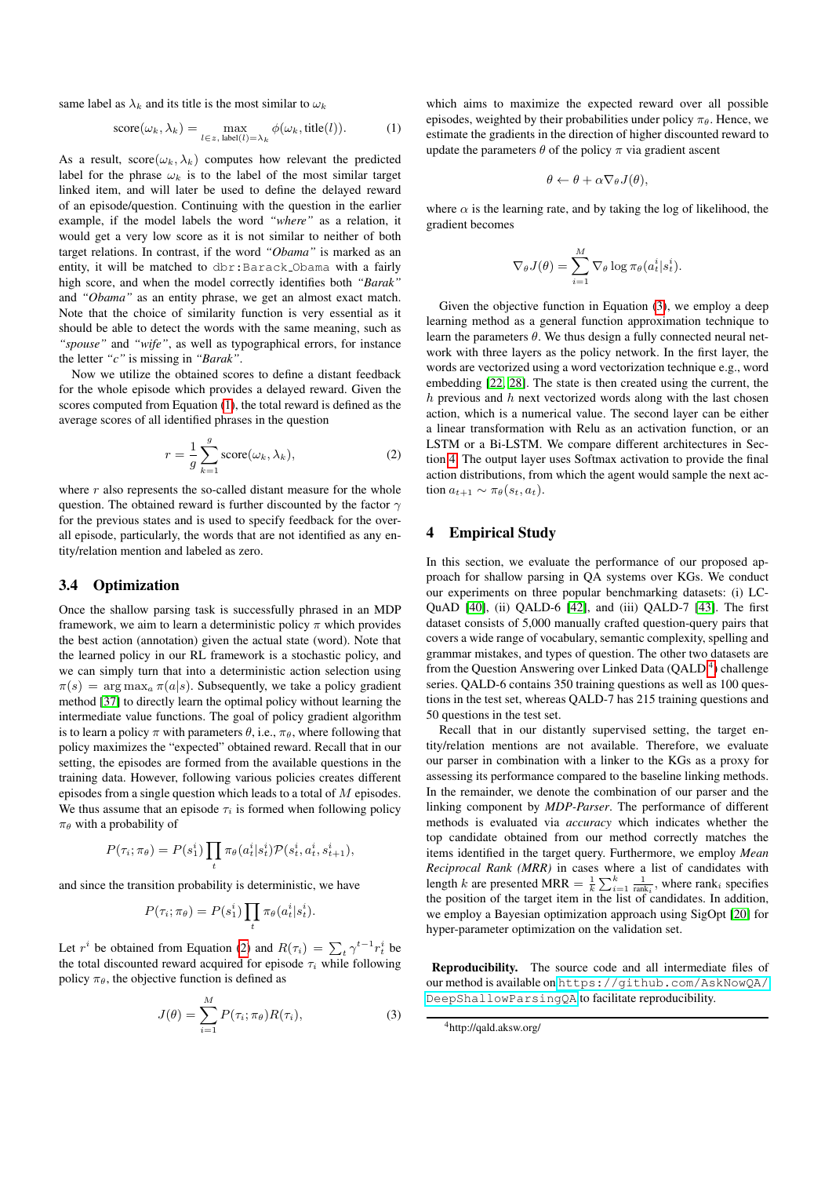same label as  $\lambda_k$  and its title is the most similar to  $\omega_k$ 

<span id="page-3-1"></span>score(
$$
\omega_k
$$
,  $\lambda_k$ ) =  $\max_{l \in z, \text{ label}(l) = \lambda_k} \phi(\omega_k, \text{title}(l)).$  (1)

As a result,  $score(\omega_k, \lambda_k)$  computes how relevant the predicted label for the phrase  $\omega_k$  is to the label of the most similar target linked item, and will later be used to define the delayed reward of an episode/question. Continuing with the question in the earlier example, if the model labels the word *"where"* as a relation, it would get a very low score as it is not similar to neither of both target relations. In contrast, if the word *"Obama"* is marked as an entity, it will be matched to dbr:Barack Obama with a fairly high score, and when the model correctly identifies both *"Barak"* and *"Obama"* as an entity phrase, we get an almost exact match. Note that the choice of similarity function is very essential as it should be able to detect the words with the same meaning, such as *"spouse"* and *"wife"*, as well as typographical errors, for instance the letter *"c"* is missing in *"Barak"*.

Now we utilize the obtained scores to define a distant feedback for the whole episode which provides a delayed reward. Given the scores computed from Equation [\(1\)](#page-3-1), the total reward is defined as the average scores of all identified phrases in the question

<span id="page-3-2"></span>
$$
r = \frac{1}{g} \sum_{k=1}^{g} \text{score}(\omega_k, \lambda_k), \tag{2}
$$

where  $r$  also represents the so-called distant measure for the whole question. The obtained reward is further discounted by the factor  $\gamma$ for the previous states and is used to specify feedback for the overall episode, particularly, the words that are not identified as any entity/relation mention and labeled as zero.

## 3.4 Optimization

Once the shallow parsing task is successfully phrased in an MDP framework, we aim to learn a deterministic policy  $\pi$  which provides the best action (annotation) given the actual state (word). Note that the learned policy in our RL framework is a stochastic policy, and we can simply turn that into a deterministic action selection using  $\pi(s) = \arg \max_a \pi(a|s)$ . Subsequently, we take a policy gradient method [\[37\]](#page-7-33) to directly learn the optimal policy without learning the intermediate value functions. The goal of policy gradient algorithm is to learn a policy  $\pi$  with parameters  $\theta$ , i.e.,  $\pi_{\theta}$ , where following that policy maximizes the "expected" obtained reward. Recall that in our setting, the episodes are formed from the available questions in the training data. However, following various policies creates different episodes from a single question which leads to a total of  $M$  episodes. We thus assume that an episode  $\tau_i$  is formed when following policy  $\pi_{\theta}$  with a probability of

$$
P(\tau_i; \pi_\theta) = P(s_1^i) \prod_t \pi_\theta(a_t^i | s_t^i) \mathcal{P}(s_t^i, a_t^i, s_{t+1}^i),
$$

and since the transition probability is deterministic, we have

$$
P(\tau_i; \pi_{\theta}) = P(s_1^i) \prod_t \pi_{\theta}(a_t^i | s_t^i).
$$

Let  $r^i$  be obtained from Equation [\(2\)](#page-3-2) and  $R(\tau_i) = \sum_t \gamma^{t-1} r_t^i$  be the total discounted reward acquired for episode  $\tau_i$  while following policy  $\pi_{\theta}$ , the objective function is defined as

<span id="page-3-3"></span>
$$
J(\theta) = \sum_{i=1}^{M} P(\tau_i; \pi_{\theta}) R(\tau_i), \qquad (3)
$$

which aims to maximize the expected reward over all possible episodes, weighted by their probabilities under policy  $\pi_{\theta}$ . Hence, we estimate the gradients in the direction of higher discounted reward to update the parameters  $\theta$  of the policy  $\pi$  via gradient ascent

$$
\theta \leftarrow \theta + \alpha \nabla_{\theta} J(\theta),
$$

where  $\alpha$  is the learning rate, and by taking the log of likelihood, the gradient becomes

$$
\nabla_{\theta} J(\theta) = \sum_{i=1}^{M} \nabla_{\theta} \log \pi_{\theta}(a_t^i | s_t^i).
$$

Given the objective function in Equation [\(3\)](#page-3-3), we employ a deep learning method as a general function approximation technique to learn the parameters  $\theta$ . We thus design a fully connected neural network with three layers as the policy network. In the first layer, the words are vectorized using a word vectorization technique e.g., word embedding [\[22,](#page-7-34) [28\]](#page-7-35). The state is then created using the current, the  $h$  previous and  $h$  next vectorized words along with the last chosen action, which is a numerical value. The second layer can be either a linear transformation with Relu as an activation function, or an LSTM or a Bi-LSTM. We compare different architectures in Section [4.](#page-3-0) The output layer uses Softmax activation to provide the final action distributions, from which the agent would sample the next action  $a_{t+1} \sim \pi_{\theta}(s_t, a_t)$ .

## <span id="page-3-0"></span>4 Empirical Study

In this section, we evaluate the performance of our proposed approach for shallow parsing in QA systems over KGs. We conduct our experiments on three popular benchmarking datasets: (i) LC-QuAD [\[40\]](#page-7-27), (ii) QALD-6 [\[42\]](#page-7-36), and (iii) QALD-7 [\[43\]](#page-7-37). The first dataset consists of 5,000 manually crafted question-query pairs that covers a wide range of vocabulary, semantic complexity, spelling and grammar mistakes, and types of question. The other two datasets are from the Question Answering over Linked Data (QALD<sup>[4](#page-3-4)</sup>) challenge series. QALD-6 contains 350 training questions as well as 100 questions in the test set, whereas QALD-7 has 215 training questions and 50 questions in the test set.

Recall that in our distantly supervised setting, the target entity/relation mentions are not available. Therefore, we evaluate our parser in combination with a linker to the KGs as a proxy for assessing its performance compared to the baseline linking methods. In the remainder, we denote the combination of our parser and the linking component by *MDP-Parser*. The performance of different methods is evaluated via *accuracy* which indicates whether the top candidate obtained from our method correctly matches the items identified in the target query. Furthermore, we employ *Mean Reciprocal Rank (MRR)* in cases where a list of candidates with length k are presented MRR =  $\frac{1}{k} \sum_{i=1}^{k} \frac{1}{\text{rank}_i}$ , where rank<sub>i</sub> specifies the position of the target item in the list of candidates. In addition, we employ a Bayesian optimization approach using SigOpt [\[20\]](#page-7-38) for hyper-parameter optimization on the validation set.

Reproducibility. The source code and all intermediate files of our method is available on [https://github.com/AskNowQA/](https://github.com/AskNowQA/DeepShallowParsingQA) [DeepShallowParsingQA](https://github.com/AskNowQA/DeepShallowParsingQA) to facilitate reproducibility.

<span id="page-3-4"></span><sup>4</sup>http://qald.aksw.org/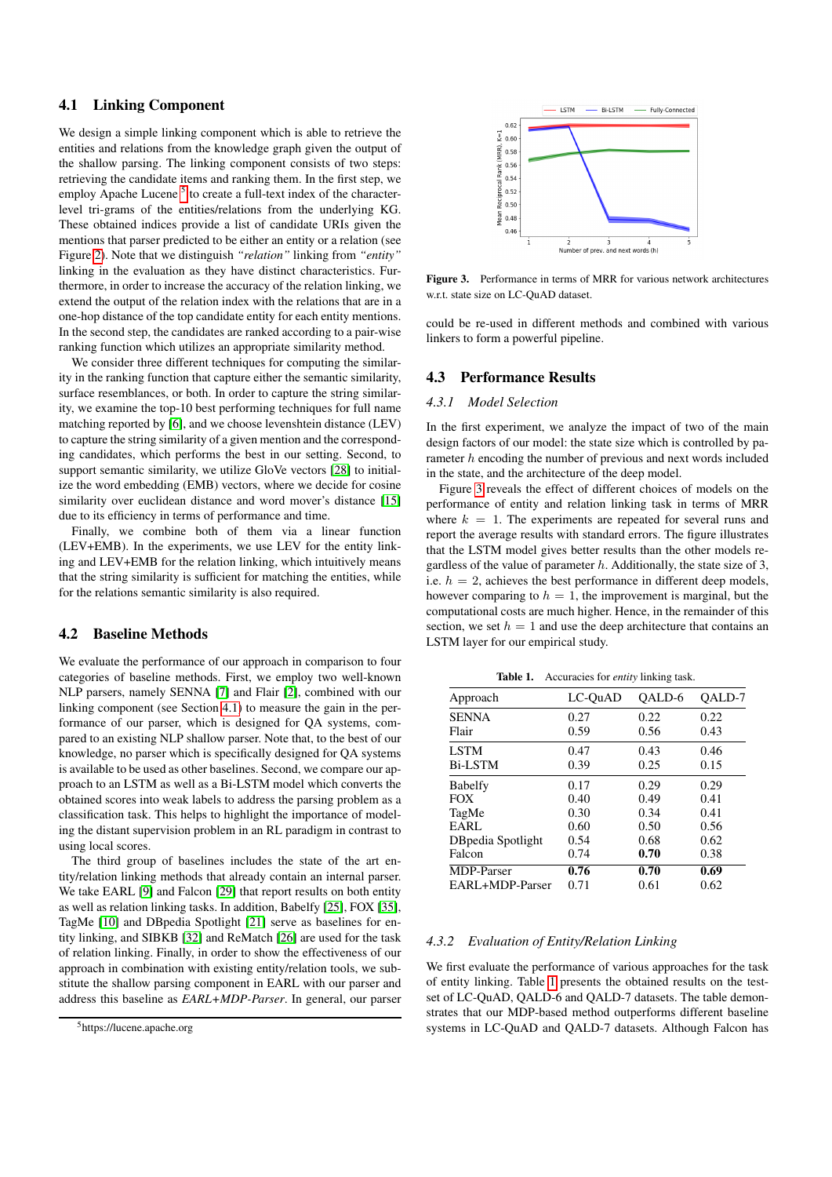# <span id="page-4-1"></span>4.1 Linking Component

We design a simple linking component which is able to retrieve the entities and relations from the knowledge graph given the output of the shallow parsing. The linking component consists of two steps: retrieving the candidate items and ranking them. In the first step, we employ Apache Lucene<sup>[5](#page-4-0)</sup> to create a full-text index of the characterlevel tri-grams of the entities/relations from the underlying KG. These obtained indices provide a list of candidate URIs given the mentions that parser predicted to be either an entity or a relation (see Figure [2\)](#page-1-0). Note that we distinguish *"relation"* linking from *"entity"* linking in the evaluation as they have distinct characteristics. Furthermore, in order to increase the accuracy of the relation linking, we extend the output of the relation index with the relations that are in a one-hop distance of the top candidate entity for each entity mentions. In the second step, the candidates are ranked according to a pair-wise ranking function which utilizes an appropriate similarity method.

We consider three different techniques for computing the similarity in the ranking function that capture either the semantic similarity, surface resemblances, or both. In order to capture the string similarity, we examine the top-10 best performing techniques for full name matching reported by [\[6\]](#page-6-7), and we choose levenshtein distance (LEV) to capture the string similarity of a given mention and the corresponding candidates, which performs the best in our setting. Second, to support semantic similarity, we utilize GloVe vectors [\[28\]](#page-7-35) to initialize the word embedding (EMB) vectors, where we decide for cosine similarity over euclidean distance and word mover's distance [\[15\]](#page-7-39) due to its efficiency in terms of performance and time.

Finally, we combine both of them via a linear function (LEV+EMB). In the experiments, we use LEV for the entity linking and LEV+EMB for the relation linking, which intuitively means that the string similarity is sufficient for matching the entities, while for the relations semantic similarity is also required.

#### 4.2 Baseline Methods

We evaluate the performance of our approach in comparison to four categories of baseline methods. First, we employ two well-known NLP parsers, namely SENNA [\[7\]](#page-6-4) and Flair [\[2\]](#page-6-3), combined with our linking component (see Section [4.1\)](#page-4-1) to measure the gain in the performance of our parser, which is designed for QA systems, compared to an existing NLP shallow parser. Note that, to the best of our knowledge, no parser which is specifically designed for QA systems is available to be used as other baselines. Second, we compare our approach to an LSTM as well as a Bi-LSTM model which converts the obtained scores into weak labels to address the parsing problem as a classification task. This helps to highlight the importance of modeling the distant supervision problem in an RL paradigm in contrast to using local scores.

The third group of baselines includes the state of the art entity/relation linking methods that already contain an internal parser. We take EARL [\[9\]](#page-7-2) and Falcon [\[29\]](#page-7-3) that report results on both entity as well as relation linking tasks. In addition, Babelfy [\[25\]](#page-7-14), FOX [\[35\]](#page-7-15), TagMe [\[10\]](#page-7-13) and DBpedia Spotlight [\[21\]](#page-7-12) serve as baselines for entity linking, and SIBKB [\[32\]](#page-7-40) and ReMatch [\[26\]](#page-7-18) are used for the task of relation linking. Finally, in order to show the effectiveness of our approach in combination with existing entity/relation tools, we substitute the shallow parsing component in EARL with our parser and address this baseline as *EARL+MDP-Parser*. In general, our parser



<span id="page-4-2"></span>Figure 3. Performance in terms of MRR for various network architectures w.r.t. state size on LC-QuAD dataset.

could be re-used in different methods and combined with various linkers to form a powerful pipeline.

# 4.3 Performance Results

#### *4.3.1 Model Selection*

In the first experiment, we analyze the impact of two of the main design factors of our model: the state size which is controlled by parameter h encoding the number of previous and next words included in the state, and the architecture of the deep model.

Figure [3](#page-4-2) reveals the effect of different choices of models on the performance of entity and relation linking task in terms of MRR where  $k = 1$ . The experiments are repeated for several runs and report the average results with standard errors. The figure illustrates that the LSTM model gives better results than the other models regardless of the value of parameter  $h$ . Additionally, the state size of 3, i.e.  $h = 2$ , achieves the best performance in different deep models, however comparing to  $h = 1$ , the improvement is marginal, but the computational costs are much higher. Hence, in the remainder of this section, we set  $h = 1$  and use the deep architecture that contains an LSTM layer for our empirical study.

<span id="page-4-3"></span>Table 1. Accuracies for *entity* linking task.

| Approach           | LC-OuAD | OALD-6 | OALD-7 |
|--------------------|---------|--------|--------|
| <b>SENNA</b>       | 0.27    | 0.22   | 0.22   |
| Flair              | 0.59    | 0.56   | 0.43   |
| <b>LSTM</b>        | 0.47    | 0.43   | 0.46   |
| <b>Bi-LSTM</b>     | 0.39    | 0.25   | 0.15   |
| <b>Babelfy</b>     | 0.17    | 0.29   | 0.29   |
| <b>FOX</b>         | 0.40    | 0.49   | 0.41   |
| TagMe              | 0.30    | 0.34   | 0.41   |
| EARL               | 0.60    | 0.50   | 0.56   |
| DB pedia Spotlight | 0.54    | 0.68   | 0.62   |
| Falcon             | 0.74    | 0.70   | 0.38   |
| <b>MDP-Parser</b>  | 0.76    | 0.70   | 0.69   |
| EARL+MDP-Parser    | 0.71    | 0.61   | 0.62   |

## *4.3.2 Evaluation of Entity/Relation Linking*

We first evaluate the performance of various approaches for the task of entity linking. Table [1](#page-4-3) presents the obtained results on the testset of LC-QuAD, QALD-6 and QALD-7 datasets. The table demonstrates that our MDP-based method outperforms different baseline systems in LC-QuAD and QALD-7 datasets. Although Falcon has

<span id="page-4-0"></span><sup>&</sup>lt;sup>5</sup>https://lucene.apache.org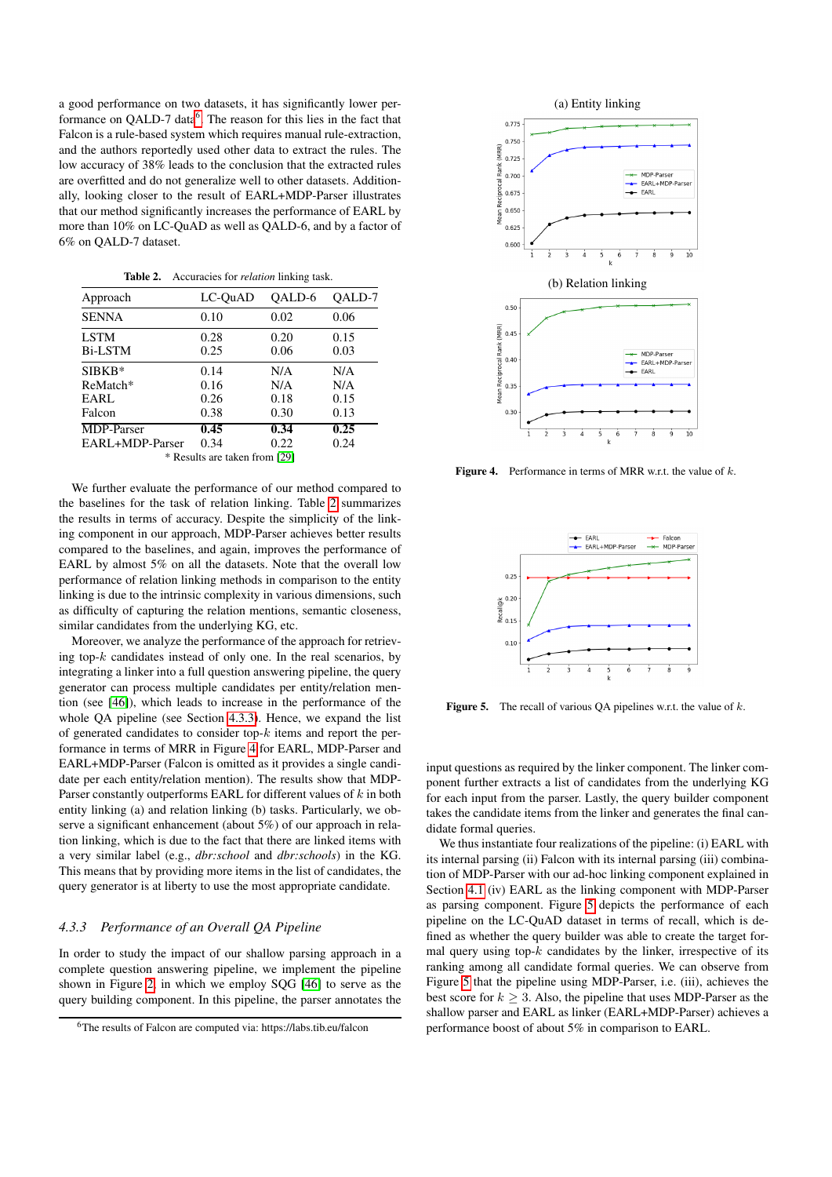a good performance on two datasets, it has significantly lower performance on  $QALD-7$  data<sup>[6](#page-5-0)</sup>. The reason for this lies in the fact that Falcon is a rule-based system which requires manual rule-extraction, and the authors reportedly used other data to extract the rules. The low accuracy of 38% leads to the conclusion that the extracted rules are overfitted and do not generalize well to other datasets. Additionally, looking closer to the result of EARL+MDP-Parser illustrates that our method significantly increases the performance of EARL by more than 10% on LC-QuAD as well as QALD-6, and by a factor of 6% on QALD-7 dataset.

<span id="page-5-1"></span>Table 2. Accuracies for *relation* linking task.

| Approach          | LC-OuAD                       | OALD-6 | OALD-7 |
|-------------------|-------------------------------|--------|--------|
| <b>SENNA</b>      | 0.10                          | 0.02   | 0.06   |
| <b>LSTM</b>       | 0.28                          | 0.20   | 0.15   |
| <b>Bi-LSTM</b>    | 0.25                          | 0.06   | 0.03   |
| $SIBKB*$          | 0.14                          | N/A    | N/A    |
| ReMatch*          | 0.16                          | N/A    | N/A    |
| EARL              | 0.26                          | 0.18   | 0.15   |
| Falcon            | 0.38                          | 0.30   | 0.13   |
| <b>MDP-Parser</b> | 0.45                          | 0.34   | 0.25   |
| EARL+MDP-Parser   | 0.34                          | 0.22   | 0.24   |
|                   | * Results are taken from [29] |        |        |

We further evaluate the performance of our method compared to the baselines for the task of relation linking. Table [2](#page-5-1) summarizes the results in terms of accuracy. Despite the simplicity of the linking component in our approach, MDP-Parser achieves better results compared to the baselines, and again, improves the performance of EARL by almost 5% on all the datasets. Note that the overall low performance of relation linking methods in comparison to the entity linking is due to the intrinsic complexity in various dimensions, such as difficulty of capturing the relation mentions, semantic closeness, similar candidates from the underlying KG, etc.

Moreover, we analyze the performance of the approach for retrieving top- $k$  candidates instead of only one. In the real scenarios, by integrating a linker into a full question answering pipeline, the query generator can process multiple candidates per entity/relation mention (see [\[46\]](#page-7-41)), which leads to increase in the performance of the whole QA pipeline (see Section [4.3.3\)](#page-5-2). Hence, we expand the list of generated candidates to consider top- $k$  items and report the performance in terms of MRR in Figure [4](#page-5-3) for EARL, MDP-Parser and EARL+MDP-Parser (Falcon is omitted as it provides a single candidate per each entity/relation mention). The results show that MDP-Parser constantly outperforms EARL for different values of  $k$  in both entity linking (a) and relation linking (b) tasks. Particularly, we observe a significant enhancement (about 5%) of our approach in relation linking, which is due to the fact that there are linked items with a very similar label (e.g., *dbr:school* and *dbr:schools*) in the KG. This means that by providing more items in the list of candidates, the query generator is at liberty to use the most appropriate candidate.

# <span id="page-5-2"></span>*4.3.3 Performance of an Overall QA Pipeline*

In order to study the impact of our shallow parsing approach in a complete question answering pipeline, we implement the pipeline shown in Figure [2,](#page-1-0) in which we employ SQG [\[46\]](#page-7-41) to serve as the query building component. In this pipeline, the parser annotates the



<span id="page-5-3"></span>**Figure 4.** Performance in terms of MRR w.r.t. the value of  $k$ .



<span id="page-5-4"></span>**Figure 5.** The recall of various QA pipelines w.r.t. the value of  $k$ .

input questions as required by the linker component. The linker component further extracts a list of candidates from the underlying KG for each input from the parser. Lastly, the query builder component takes the candidate items from the linker and generates the final candidate formal queries.

We thus instantiate four realizations of the pipeline: (i) EARL with its internal parsing (ii) Falcon with its internal parsing (iii) combination of MDP-Parser with our ad-hoc linking component explained in Section [4.1](#page-4-1) (iv) EARL as the linking component with MDP-Parser as parsing component. Figure [5](#page-5-4) depicts the performance of each pipeline on the LC-QuAD dataset in terms of recall, which is defined as whether the query builder was able to create the target formal query using top- $k$  candidates by the linker, irrespective of its ranking among all candidate formal queries. We can observe from Figure [5](#page-5-4) that the pipeline using MDP-Parser, i.e. (iii), achieves the best score for  $k > 3$ . Also, the pipeline that uses MDP-Parser as the shallow parser and EARL as linker (EARL+MDP-Parser) achieves a performance boost of about 5% in comparison to EARL.

<span id="page-5-0"></span><sup>6</sup>The results of Falcon are computed via: https://labs.tib.eu/falcon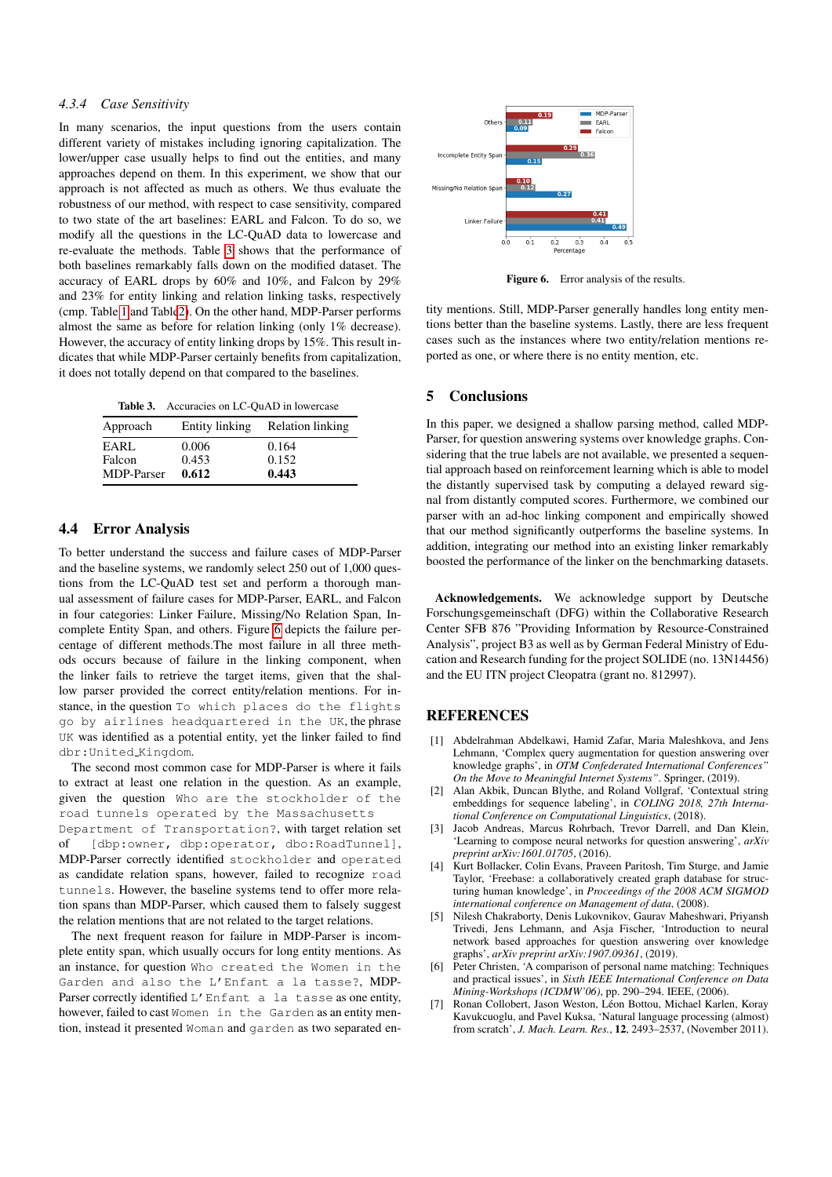## *4.3.4 Case Sensitivity*

In many scenarios, the input questions from the users contain different variety of mistakes including ignoring capitalization. The lower/upper case usually helps to find out the entities, and many approaches depend on them. In this experiment, we show that our approach is not affected as much as others. We thus evaluate the robustness of our method, with respect to case sensitivity, compared to two state of the art baselines: EARL and Falcon. To do so, we modify all the questions in the LC-QuAD data to lowercase and re-evaluate the methods. Table [3](#page-6-8) shows that the performance of both baselines remarkably falls down on the modified dataset. The accuracy of EARL drops by 60% and 10%, and Falcon by 29% and 23% for entity linking and relation linking tasks, respectively (cmp. Table [1](#page-4-3) and Tabl[e2\)](#page-5-1). On the other hand, MDP-Parser performs almost the same as before for relation linking (only 1% decrease). However, the accuracy of entity linking drops by 15%. This result indicates that while MDP-Parser certainly benefits from capitalization, it does not totally depend on that compared to the baselines.

<span id="page-6-8"></span>

| Approach             | Entity linking | Relation linking |
|----------------------|----------------|------------------|
| EARL                 | 0.006          | 0.164<br>0.152   |
| Falcon<br>MDP-Parser | 0.453<br>0.612 | 0.443            |

# 4.4 Error Analysis

To better understand the success and failure cases of MDP-Parser and the baseline systems, we randomly select 250 out of 1,000 questions from the LC-QuAD test set and perform a thorough manual assessment of failure cases for MDP-Parser, EARL, and Falcon in four categories: Linker Failure, Missing/No Relation Span, Incomplete Entity Span, and others. Figure [6](#page-6-9) depicts the failure percentage of different methods.The most failure in all three methods occurs because of failure in the linking component, when the linker fails to retrieve the target items, given that the shallow parser provided the correct entity/relation mentions. For instance, in the question To which places do the flights go by airlines headquartered in the UK, the phrase UK was identified as a potential entity, yet the linker failed to find dbr:United Kingdom.

The second most common case for MDP-Parser is where it fails to extract at least one relation in the question. As an example, given the question Who are the stockholder of the road tunnels operated by the Massachusetts Department of Transportation?, with target relation set of [dbp:owner, dbp:operator, dbo:RoadTunnel], MDP-Parser correctly identified stockholder and operated as candidate relation spans, however, failed to recognize road tunnels. However, the baseline systems tend to offer more relation spans than MDP-Parser, which caused them to falsely suggest the relation mentions that are not related to the target relations.

The next frequent reason for failure in MDP-Parser is incomplete entity span, which usually occurs for long entity mentions. As an instance, for question Who created the Women in the Garden and also the L'Enfant a la tasse?, MDP-Parser correctly identified L'Enfant a la tasse as one entity, however, failed to cast Women in the Garden as an entity mention, instead it presented Woman and garden as two separated en-



<span id="page-6-9"></span>Figure 6. Error analysis of the results.

tity mentions. Still, MDP-Parser generally handles long entity mentions better than the baseline systems. Lastly, there are less frequent cases such as the instances where two entity/relation mentions reported as one, or where there is no entity mention, etc.

# <span id="page-6-5"></span>5 Conclusions

In this paper, we designed a shallow parsing method, called MDP-Parser, for question answering systems over knowledge graphs. Considering that the true labels are not available, we presented a sequential approach based on reinforcement learning which is able to model the distantly supervised task by computing a delayed reward signal from distantly computed scores. Furthermore, we combined our parser with an ad-hoc linking component and empirically showed that our method significantly outperforms the baseline systems. In addition, integrating our method into an existing linker remarkably boosted the performance of the linker on the benchmarking datasets.

Acknowledgements. We acknowledge support by Deutsche Forschungsgemeinschaft (DFG) within the Collaborative Research Center SFB 876 "Providing Information by Resource-Constrained Analysis", project B3 as well as by German Federal Ministry of Education and Research funding for the project SOLIDE (no. 13N14456) and the EU ITN project Cleopatra (grant no. 812997).

# **REFERENCES**

- <span id="page-6-1"></span>[1] Abdelrahman Abdelkawi, Hamid Zafar, Maria Maleshkova, and Jens Lehmann, 'Complex query augmentation for question answering over knowledge graphs', in *OTM Confederated International Conferences" On the Move to Meaningful Internet Systems"*. Springer, (2019).
- <span id="page-6-3"></span>[2] Alan Akbik, Duncan Blythe, and Roland Vollgraf, 'Contextual string embeddings for sequence labeling', in *COLING 2018, 27th International Conference on Computational Linguistics*, (2018).
- <span id="page-6-6"></span>[3] Jacob Andreas, Marcus Rohrbach, Trevor Darrell, and Dan Klein, 'Learning to compose neural networks for question answering', *arXiv preprint arXiv:1601.01705*, (2016).
- <span id="page-6-0"></span>[4] Kurt Bollacker, Colin Evans, Praveen Paritosh, Tim Sturge, and Jamie Taylor, 'Freebase: a collaboratively created graph database for structuring human knowledge', in *Proceedings of the 2008 ACM SIGMOD international conference on Management of data*, (2008).
- <span id="page-6-2"></span>[5] Nilesh Chakraborty, Denis Lukovnikov, Gaurav Maheshwari, Priyansh Trivedi, Jens Lehmann, and Asja Fischer, 'Introduction to neural network based approaches for question answering over knowledge graphs', *arXiv preprint arXiv:1907.09361*, (2019).
- <span id="page-6-7"></span>[6] Peter Christen, 'A comparison of personal name matching: Techniques and practical issues', in *Sixth IEEE International Conference on Data Mining-Workshops (ICDMW'06)*, pp. 290–294. IEEE, (2006).
- <span id="page-6-4"></span>Ronan Collobert, Jason Weston, Léon Bottou, Michael Karlen, Koray Kavukcuoglu, and Pavel Kuksa, 'Natural language processing (almost) from scratch', *J. Mach. Learn. Res.*, 12, 2493–2537, (November 2011).